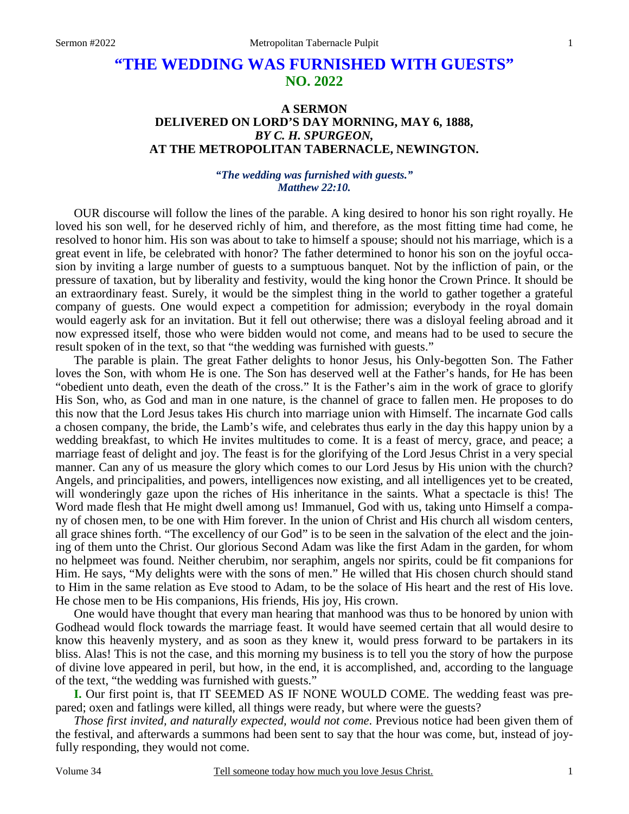# **"THE WEDDING WAS FURNISHED WITH GUESTS" NO. 2022**

## **A SERMON DELIVERED ON LORD'S DAY MORNING, MAY 6, 1888,**  *BY C. H. SPURGEON,*  **AT THE METROPOLITAN TABERNACLE, NEWINGTON.**

### *"The wedding was furnished with guests." Matthew 22:10.*

OUR discourse will follow the lines of the parable. A king desired to honor his son right royally. He loved his son well, for he deserved richly of him, and therefore, as the most fitting time had come, he resolved to honor him. His son was about to take to himself a spouse; should not his marriage, which is a great event in life, be celebrated with honor? The father determined to honor his son on the joyful occasion by inviting a large number of guests to a sumptuous banquet. Not by the infliction of pain, or the pressure of taxation, but by liberality and festivity, would the king honor the Crown Prince. It should be an extraordinary feast. Surely, it would be the simplest thing in the world to gather together a grateful company of guests. One would expect a competition for admission; everybody in the royal domain would eagerly ask for an invitation. But it fell out otherwise; there was a disloyal feeling abroad and it now expressed itself, those who were bidden would not come, and means had to be used to secure the result spoken of in the text, so that "the wedding was furnished with guests."

The parable is plain. The great Father delights to honor Jesus, his Only-begotten Son. The Father loves the Son, with whom He is one. The Son has deserved well at the Father's hands, for He has been "obedient unto death, even the death of the cross." It is the Father's aim in the work of grace to glorify His Son, who, as God and man in one nature, is the channel of grace to fallen men. He proposes to do this now that the Lord Jesus takes His church into marriage union with Himself. The incarnate God calls a chosen company, the bride, the Lamb's wife, and celebrates thus early in the day this happy union by a wedding breakfast, to which He invites multitudes to come. It is a feast of mercy, grace, and peace; a marriage feast of delight and joy. The feast is for the glorifying of the Lord Jesus Christ in a very special manner. Can any of us measure the glory which comes to our Lord Jesus by His union with the church? Angels, and principalities, and powers, intelligences now existing, and all intelligences yet to be created, will wonderingly gaze upon the riches of His inheritance in the saints. What a spectacle is this! The Word made flesh that He might dwell among us! Immanuel, God with us, taking unto Himself a company of chosen men, to be one with Him forever. In the union of Christ and His church all wisdom centers, all grace shines forth. "The excellency of our God" is to be seen in the salvation of the elect and the joining of them unto the Christ. Our glorious Second Adam was like the first Adam in the garden, for whom no helpmeet was found. Neither cherubim, nor seraphim, angels nor spirits, could be fit companions for Him. He says, "My delights were with the sons of men." He willed that His chosen church should stand to Him in the same relation as Eve stood to Adam, to be the solace of His heart and the rest of His love. He chose men to be His companions, His friends, His joy, His crown.

One would have thought that every man hearing that manhood was thus to be honored by union with Godhead would flock towards the marriage feast. It would have seemed certain that all would desire to know this heavenly mystery, and as soon as they knew it, would press forward to be partakers in its bliss. Alas! This is not the case, and this morning my business is to tell you the story of how the purpose of divine love appeared in peril, but how, in the end, it is accomplished, and, according to the language of the text, "the wedding was furnished with guests."

**I.** Our first point is, that IT SEEMED AS IF NONE WOULD COME. The wedding feast was prepared; oxen and fatlings were killed, all things were ready, but where were the guests?

*Those first invited, and naturally expected, would not come*. Previous notice had been given them of the festival, and afterwards a summons had been sent to say that the hour was come, but, instead of joyfully responding, they would not come.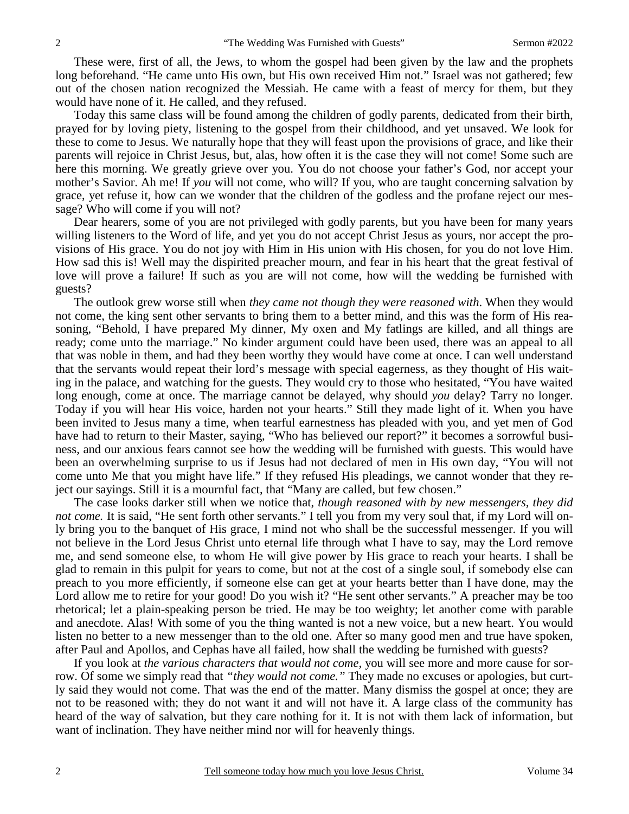These were, first of all, the Jews, to whom the gospel had been given by the law and the prophets long beforehand. "He came unto His own, but His own received Him not." Israel was not gathered; few out of the chosen nation recognized the Messiah. He came with a feast of mercy for them, but they would have none of it. He called, and they refused.

Today this same class will be found among the children of godly parents, dedicated from their birth, prayed for by loving piety, listening to the gospel from their childhood, and yet unsaved. We look for these to come to Jesus. We naturally hope that they will feast upon the provisions of grace, and like their parents will rejoice in Christ Jesus, but, alas, how often it is the case they will not come! Some such are here this morning. We greatly grieve over you. You do not choose your father's God, nor accept your mother's Savior. Ah me! If *you* will not come, who will? If you, who are taught concerning salvation by grace, yet refuse it, how can we wonder that the children of the godless and the profane reject our message? Who will come if you will not?

Dear hearers, some of you are not privileged with godly parents, but you have been for many years willing listeners to the Word of life, and yet you do not accept Christ Jesus as yours, nor accept the provisions of His grace. You do not joy with Him in His union with His chosen, for you do not love Him. How sad this is! Well may the dispirited preacher mourn, and fear in his heart that the great festival of love will prove a failure! If such as you are will not come, how will the wedding be furnished with guests?

The outlook grew worse still when *they came not though they were reasoned with*. When they would not come, the king sent other servants to bring them to a better mind, and this was the form of His reasoning, "Behold, I have prepared My dinner, My oxen and My fatlings are killed, and all things are ready; come unto the marriage." No kinder argument could have been used, there was an appeal to all that was noble in them, and had they been worthy they would have come at once. I can well understand that the servants would repeat their lord's message with special eagerness, as they thought of His waiting in the palace, and watching for the guests. They would cry to those who hesitated, "You have waited long enough, come at once. The marriage cannot be delayed, why should *you* delay? Tarry no longer. Today if you will hear His voice, harden not your hearts." Still they made light of it. When you have been invited to Jesus many a time, when tearful earnestness has pleaded with you, and yet men of God have had to return to their Master, saying, "Who has believed our report?" it becomes a sorrowful business, and our anxious fears cannot see how the wedding will be furnished with guests. This would have been an overwhelming surprise to us if Jesus had not declared of men in His own day, "You will not come unto Me that you might have life." If they refused His pleadings, we cannot wonder that they reject our sayings. Still it is a mournful fact, that "Many are called, but few chosen."

The case looks darker still when we notice that, *though reasoned with by new messengers, they did not come.* It is said, "He sent forth other servants." I tell you from my very soul that, if my Lord will only bring you to the banquet of His grace, I mind not who shall be the successful messenger. If you will not believe in the Lord Jesus Christ unto eternal life through what I have to say, may the Lord remove me, and send someone else, to whom He will give power by His grace to reach your hearts. I shall be glad to remain in this pulpit for years to come, but not at the cost of a single soul, if somebody else can preach to you more efficiently, if someone else can get at your hearts better than I have done, may the Lord allow me to retire for your good! Do you wish it? "He sent other servants." A preacher may be too rhetorical; let a plain-speaking person be tried. He may be too weighty; let another come with parable and anecdote. Alas! With some of you the thing wanted is not a new voice, but a new heart. You would listen no better to a new messenger than to the old one. After so many good men and true have spoken, after Paul and Apollos, and Cephas have all failed, how shall the wedding be furnished with guests?

If you look at *the various characters that would not come,* you will see more and more cause for sorrow. Of some we simply read that *"they would not come."* They made no excuses or apologies, but curtly said they would not come. That was the end of the matter. Many dismiss the gospel at once; they are not to be reasoned with; they do not want it and will not have it. A large class of the community has heard of the way of salvation, but they care nothing for it. It is not with them lack of information, but want of inclination. They have neither mind nor will for heavenly things.

2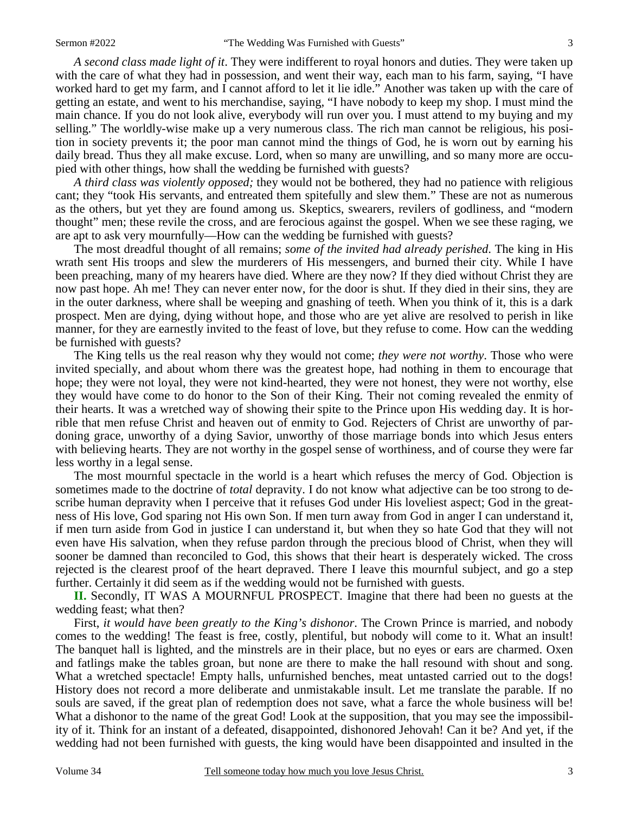*A second class made light of it*. They were indifferent to royal honors and duties. They were taken up with the care of what they had in possession, and went their way, each man to his farm, saying, "I have worked hard to get my farm, and I cannot afford to let it lie idle." Another was taken up with the care of getting an estate, and went to his merchandise, saying, "I have nobody to keep my shop. I must mind the main chance. If you do not look alive, everybody will run over you. I must attend to my buying and my selling." The worldly-wise make up a very numerous class. The rich man cannot be religious, his position in society prevents it; the poor man cannot mind the things of God, he is worn out by earning his

pied with other things, how shall the wedding be furnished with guests? *A third class was violently opposed;* they would not be bothered, they had no patience with religious cant; they "took His servants, and entreated them spitefully and slew them." These are not as numerous as the others, but yet they are found among us. Skeptics, swearers, revilers of godliness, and "modern thought" men; these revile the cross, and are ferocious against the gospel. When we see these raging, we are apt to ask very mournfully—How can the wedding be furnished with guests?

daily bread. Thus they all make excuse. Lord, when so many are unwilling, and so many more are occu-

The most dreadful thought of all remains; *some of the invited had already perished*. The king in His wrath sent His troops and slew the murderers of His messengers, and burned their city. While I have been preaching, many of my hearers have died. Where are they now? If they died without Christ they are now past hope. Ah me! They can never enter now, for the door is shut. If they died in their sins, they are in the outer darkness, where shall be weeping and gnashing of teeth. When you think of it, this is a dark prospect. Men are dying, dying without hope, and those who are yet alive are resolved to perish in like manner, for they are earnestly invited to the feast of love, but they refuse to come. How can the wedding be furnished with guests?

The King tells us the real reason why they would not come; *they were not worthy*. Those who were invited specially, and about whom there was the greatest hope, had nothing in them to encourage that hope; they were not loyal, they were not kind-hearted, they were not honest, they were not worthy, else they would have come to do honor to the Son of their King. Their not coming revealed the enmity of their hearts. It was a wretched way of showing their spite to the Prince upon His wedding day. It is horrible that men refuse Christ and heaven out of enmity to God. Rejecters of Christ are unworthy of pardoning grace, unworthy of a dying Savior, unworthy of those marriage bonds into which Jesus enters with believing hearts. They are not worthy in the gospel sense of worthiness, and of course they were far less worthy in a legal sense.

The most mournful spectacle in the world is a heart which refuses the mercy of God. Objection is sometimes made to the doctrine of *total* depravity. I do not know what adjective can be too strong to describe human depravity when I perceive that it refuses God under His loveliest aspect; God in the greatness of His love, God sparing not His own Son. If men turn away from God in anger I can understand it, if men turn aside from God in justice I can understand it, but when they so hate God that they will not even have His salvation, when they refuse pardon through the precious blood of Christ, when they will sooner be damned than reconciled to God, this shows that their heart is desperately wicked. The cross rejected is the clearest proof of the heart depraved. There I leave this mournful subject, and go a step further. Certainly it did seem as if the wedding would not be furnished with guests.

**II.** Secondly, IT WAS A MOURNFUL PROSPECT. Imagine that there had been no guests at the wedding feast; what then?

First, *it would have been greatly to the King's dishonor*. The Crown Prince is married, and nobody comes to the wedding! The feast is free, costly, plentiful, but nobody will come to it. What an insult! The banquet hall is lighted, and the minstrels are in their place, but no eyes or ears are charmed. Oxen and fatlings make the tables groan, but none are there to make the hall resound with shout and song. What a wretched spectacle! Empty halls, unfurnished benches, meat untasted carried out to the dogs! History does not record a more deliberate and unmistakable insult. Let me translate the parable. If no souls are saved, if the great plan of redemption does not save, what a farce the whole business will be! What a dishonor to the name of the great God! Look at the supposition, that you may see the impossibility of it. Think for an instant of a defeated, disappointed, dishonored Jehovah! Can it be? And yet, if the wedding had not been furnished with guests, the king would have been disappointed and insulted in the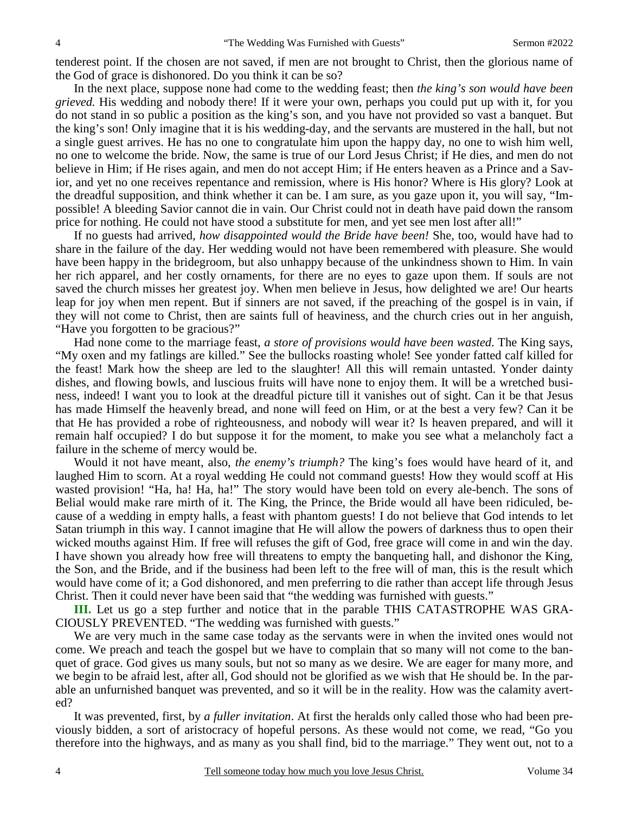tenderest point. If the chosen are not saved, if men are not brought to Christ, then the glorious name of the God of grace is dishonored. Do you think it can be so?

In the next place, suppose none had come to the wedding feast; then *the king's son would have been grieved.* His wedding and nobody there! If it were your own, perhaps you could put up with it, for you do not stand in so public a position as the king's son, and you have not provided so vast a banquet. But the king's son! Only imagine that it is his wedding-day, and the servants are mustered in the hall, but not a single guest arrives. He has no one to congratulate him upon the happy day, no one to wish him well, no one to welcome the bride. Now, the same is true of our Lord Jesus Christ; if He dies, and men do not believe in Him; if He rises again, and men do not accept Him; if He enters heaven as a Prince and a Savior, and yet no one receives repentance and remission, where is His honor? Where is His glory? Look at the dreadful supposition, and think whether it can be. I am sure, as you gaze upon it, you will say, "Impossible! A bleeding Savior cannot die in vain. Our Christ could not in death have paid down the ransom price for nothing. He could not have stood a substitute for men, and yet see men lost after all!"

If no guests had arrived, *how disappointed would the Bride have been!* She, too, would have had to share in the failure of the day. Her wedding would not have been remembered with pleasure. She would have been happy in the bridegroom, but also unhappy because of the unkindness shown to Him. In vain her rich apparel, and her costly ornaments, for there are no eyes to gaze upon them. If souls are not saved the church misses her greatest joy. When men believe in Jesus, how delighted we are! Our hearts leap for joy when men repent. But if sinners are not saved, if the preaching of the gospel is in vain, if they will not come to Christ, then are saints full of heaviness, and the church cries out in her anguish, "Have you forgotten to be gracious?"

Had none come to the marriage feast, *a store of provisions would have been wasted*. The King says, "My oxen and my fatlings are killed." See the bullocks roasting whole! See yonder fatted calf killed for the feast! Mark how the sheep are led to the slaughter! All this will remain untasted. Yonder dainty dishes, and flowing bowls, and luscious fruits will have none to enjoy them. It will be a wretched business, indeed! I want you to look at the dreadful picture till it vanishes out of sight. Can it be that Jesus has made Himself the heavenly bread, and none will feed on Him, or at the best a very few? Can it be that He has provided a robe of righteousness, and nobody will wear it? Is heaven prepared, and will it remain half occupied? I do but suppose it for the moment, to make you see what a melancholy fact a failure in the scheme of mercy would be.

Would it not have meant, also, *the enemy's triumph?* The king's foes would have heard of it, and laughed Him to scorn. At a royal wedding He could not command guests! How they would scoff at His wasted provision! "Ha, ha! Ha, ha!" The story would have been told on every ale-bench. The sons of Belial would make rare mirth of it. The King, the Prince, the Bride would all have been ridiculed, because of a wedding in empty halls, a feast with phantom guests! I do not believe that God intends to let Satan triumph in this way. I cannot imagine that He will allow the powers of darkness thus to open their wicked mouths against Him. If free will refuses the gift of God, free grace will come in and win the day. I have shown you already how free will threatens to empty the banqueting hall, and dishonor the King, the Son, and the Bride, and if the business had been left to the free will of man, this is the result which would have come of it; a God dishonored, and men preferring to die rather than accept life through Jesus Christ. Then it could never have been said that "the wedding was furnished with guests."

**III.** Let us go a step further and notice that in the parable THIS CATASTROPHE WAS GRA-CIOUSLY PREVENTED. "The wedding was furnished with guests."

We are very much in the same case today as the servants were in when the invited ones would not come. We preach and teach the gospel but we have to complain that so many will not come to the banquet of grace. God gives us many souls, but not so many as we desire. We are eager for many more, and we begin to be afraid lest, after all, God should not be glorified as we wish that He should be. In the parable an unfurnished banquet was prevented, and so it will be in the reality. How was the calamity averted?

It was prevented, first, by *a fuller invitation*. At first the heralds only called those who had been previously bidden, a sort of aristocracy of hopeful persons. As these would not come, we read, "Go you therefore into the highways, and as many as you shall find, bid to the marriage." They went out, not to a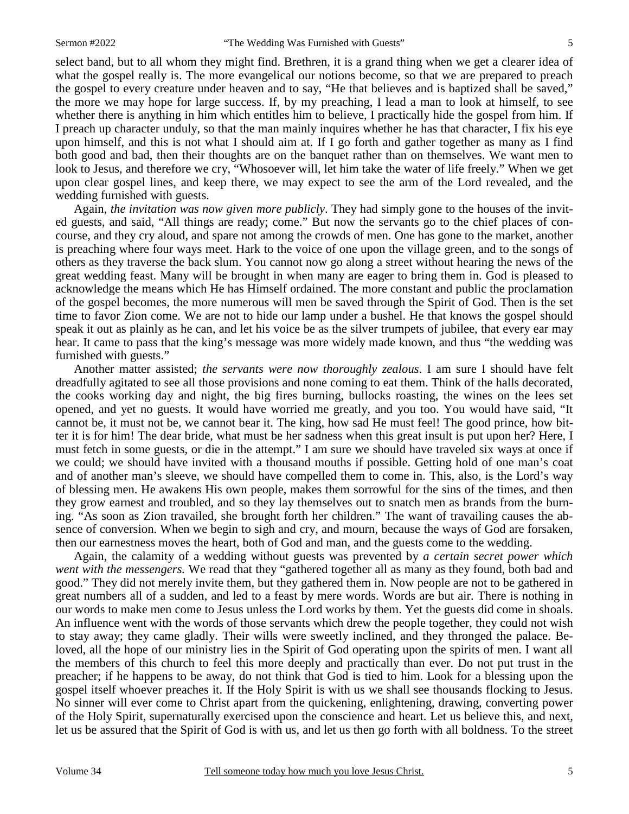select band, but to all whom they might find. Brethren, it is a grand thing when we get a clearer idea of what the gospel really is. The more evangelical our notions become, so that we are prepared to preach the gospel to every creature under heaven and to say, "He that believes and is baptized shall be saved," the more we may hope for large success. If, by my preaching, I lead a man to look at himself, to see whether there is anything in him which entitles him to believe, I practically hide the gospel from him. If I preach up character unduly, so that the man mainly inquires whether he has that character, I fix his eye upon himself, and this is not what I should aim at. If I go forth and gather together as many as I find both good and bad, then their thoughts are on the banquet rather than on themselves. We want men to look to Jesus, and therefore we cry, "Whosoever will, let him take the water of life freely." When we get upon clear gospel lines, and keep there, we may expect to see the arm of the Lord revealed, and the wedding furnished with guests.

Again, *the invitation was now given more publicly*. They had simply gone to the houses of the invited guests, and said, "All things are ready; come." But now the servants go to the chief places of concourse, and they cry aloud, and spare not among the crowds of men. One has gone to the market, another is preaching where four ways meet. Hark to the voice of one upon the village green, and to the songs of others as they traverse the back slum. You cannot now go along a street without hearing the news of the great wedding feast. Many will be brought in when many are eager to bring them in. God is pleased to acknowledge the means which He has Himself ordained. The more constant and public the proclamation of the gospel becomes, the more numerous will men be saved through the Spirit of God. Then is the set time to favor Zion come. We are not to hide our lamp under a bushel. He that knows the gospel should speak it out as plainly as he can, and let his voice be as the silver trumpets of jubilee, that every ear may hear. It came to pass that the king's message was more widely made known, and thus "the wedding was furnished with guests."

Another matter assisted; *the servants were now thoroughly zealous*. I am sure I should have felt dreadfully agitated to see all those provisions and none coming to eat them. Think of the halls decorated, the cooks working day and night, the big fires burning, bullocks roasting, the wines on the lees set opened, and yet no guests. It would have worried me greatly, and you too. You would have said, "It cannot be, it must not be, we cannot bear it. The king, how sad He must feel! The good prince, how bitter it is for him! The dear bride, what must be her sadness when this great insult is put upon her? Here, I must fetch in some guests, or die in the attempt." I am sure we should have traveled six ways at once if we could; we should have invited with a thousand mouths if possible. Getting hold of one man's coat and of another man's sleeve, we should have compelled them to come in. This, also, is the Lord's way of blessing men. He awakens His own people, makes them sorrowful for the sins of the times, and then they grow earnest and troubled, and so they lay themselves out to snatch men as brands from the burning. "As soon as Zion travailed, she brought forth her children." The want of travailing causes the absence of conversion. When we begin to sigh and cry, and mourn, because the ways of God are forsaken, then our earnestness moves the heart, both of God and man, and the guests come to the wedding.

Again, the calamity of a wedding without guests was prevented by *a certain secret power which went with the messengers.* We read that they "gathered together all as many as they found, both bad and good." They did not merely invite them, but they gathered them in. Now people are not to be gathered in great numbers all of a sudden, and led to a feast by mere words. Words are but air. There is nothing in our words to make men come to Jesus unless the Lord works by them. Yet the guests did come in shoals. An influence went with the words of those servants which drew the people together, they could not wish to stay away; they came gladly. Their wills were sweetly inclined, and they thronged the palace. Beloved, all the hope of our ministry lies in the Spirit of God operating upon the spirits of men. I want all the members of this church to feel this more deeply and practically than ever. Do not put trust in the preacher; if he happens to be away, do not think that God is tied to him. Look for a blessing upon the gospel itself whoever preaches it. If the Holy Spirit is with us we shall see thousands flocking to Jesus. No sinner will ever come to Christ apart from the quickening, enlightening, drawing, converting power of the Holy Spirit, supernaturally exercised upon the conscience and heart. Let us believe this, and next, let us be assured that the Spirit of God is with us, and let us then go forth with all boldness. To the street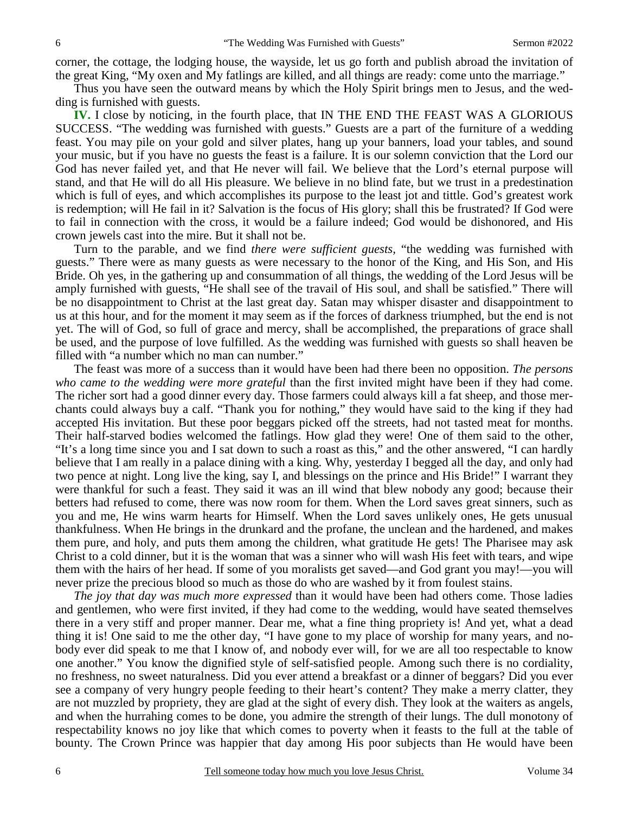corner, the cottage, the lodging house, the wayside, let us go forth and publish abroad the invitation of the great King, "My oxen and My fatlings are killed, and all things are ready: come unto the marriage."

Thus you have seen the outward means by which the Holy Spirit brings men to Jesus, and the wedding is furnished with guests.

**IV.** I close by noticing, in the fourth place, that IN THE END THE FEAST WAS A GLORIOUS SUCCESS. "The wedding was furnished with guests." Guests are a part of the furniture of a wedding feast. You may pile on your gold and silver plates, hang up your banners, load your tables, and sound your music, but if you have no guests the feast is a failure. It is our solemn conviction that the Lord our God has never failed yet, and that He never will fail. We believe that the Lord's eternal purpose will stand, and that He will do all His pleasure. We believe in no blind fate, but we trust in a predestination which is full of eyes, and which accomplishes its purpose to the least jot and tittle. God's greatest work is redemption; will He fail in it? Salvation is the focus of His glory; shall this be frustrated? If God were to fail in connection with the cross, it would be a failure indeed; God would be dishonored, and His crown jewels cast into the mire. But it shall not be.

Turn to the parable, and we find *there were sufficient guests,* "the wedding was furnished with guests." There were as many guests as were necessary to the honor of the King, and His Son, and His Bride. Oh yes, in the gathering up and consummation of all things, the wedding of the Lord Jesus will be amply furnished with guests, "He shall see of the travail of His soul, and shall be satisfied." There will be no disappointment to Christ at the last great day. Satan may whisper disaster and disappointment to us at this hour, and for the moment it may seem as if the forces of darkness triumphed, but the end is not yet. The will of God, so full of grace and mercy, shall be accomplished, the preparations of grace shall be used, and the purpose of love fulfilled. As the wedding was furnished with guests so shall heaven be filled with "a number which no man can number."

The feast was more of a success than it would have been had there been no opposition. *The persons who came to the wedding were more grateful* than the first invited might have been if they had come. The richer sort had a good dinner every day. Those farmers could always kill a fat sheep, and those merchants could always buy a calf. "Thank you for nothing," they would have said to the king if they had accepted His invitation. But these poor beggars picked off the streets, had not tasted meat for months. Their half-starved bodies welcomed the fatlings. How glad they were! One of them said to the other, "It's a long time since you and I sat down to such a roast as this," and the other answered, "I can hardly believe that I am really in a palace dining with a king. Why, yesterday I begged all the day, and only had two pence at night. Long live the king, say I, and blessings on the prince and His Bride!" I warrant they were thankful for such a feast. They said it was an ill wind that blew nobody any good; because their betters had refused to come, there was now room for them. When the Lord saves great sinners, such as you and me, He wins warm hearts for Himself. When the Lord saves unlikely ones, He gets unusual thankfulness. When He brings in the drunkard and the profane, the unclean and the hardened, and makes them pure, and holy, and puts them among the children, what gratitude He gets! The Pharisee may ask Christ to a cold dinner, but it is the woman that was a sinner who will wash His feet with tears, and wipe them with the hairs of her head. If some of you moralists get saved—and God grant you may!—you will never prize the precious blood so much as those do who are washed by it from foulest stains.

*The joy that day was much more expressed* than it would have been had others come. Those ladies and gentlemen, who were first invited, if they had come to the wedding, would have seated themselves there in a very stiff and proper manner. Dear me, what a fine thing propriety is! And yet, what a dead thing it is! One said to me the other day, "I have gone to my place of worship for many years, and nobody ever did speak to me that I know of, and nobody ever will, for we are all too respectable to know one another." You know the dignified style of self-satisfied people. Among such there is no cordiality, no freshness, no sweet naturalness. Did you ever attend a breakfast or a dinner of beggars? Did you ever see a company of very hungry people feeding to their heart's content? They make a merry clatter, they are not muzzled by propriety, they are glad at the sight of every dish. They look at the waiters as angels, and when the hurrahing comes to be done, you admire the strength of their lungs. The dull monotony of respectability knows no joy like that which comes to poverty when it feasts to the full at the table of bounty. The Crown Prince was happier that day among His poor subjects than He would have been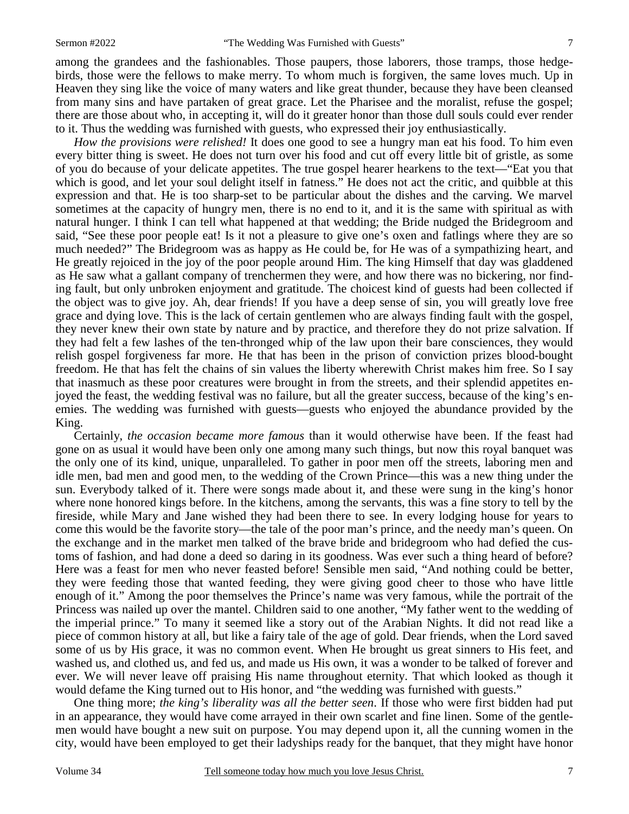among the grandees and the fashionables. Those paupers, those laborers, those tramps, those hedgebirds, those were the fellows to make merry. To whom much is forgiven, the same loves much. Up in Heaven they sing like the voice of many waters and like great thunder, because they have been cleansed from many sins and have partaken of great grace. Let the Pharisee and the moralist, refuse the gospel; there are those about who, in accepting it, will do it greater honor than those dull souls could ever render to it. Thus the wedding was furnished with guests, who expressed their joy enthusiastically.

*How the provisions were relished!* It does one good to see a hungry man eat his food. To him even every bitter thing is sweet. He does not turn over his food and cut off every little bit of gristle, as some of you do because of your delicate appetites. The true gospel hearer hearkens to the text—"Eat you that which is good, and let your soul delight itself in fatness." He does not act the critic, and quibble at this expression and that. He is too sharp-set to be particular about the dishes and the carving. We marvel sometimes at the capacity of hungry men, there is no end to it, and it is the same with spiritual as with natural hunger. I think I can tell what happened at that wedding; the Bride nudged the Bridegroom and said, "See these poor people eat! Is it not a pleasure to give one's oxen and fatlings where they are so much needed?" The Bridegroom was as happy as He could be, for He was of a sympathizing heart, and He greatly rejoiced in the joy of the poor people around Him. The king Himself that day was gladdened as He saw what a gallant company of trenchermen they were, and how there was no bickering, nor finding fault, but only unbroken enjoyment and gratitude. The choicest kind of guests had been collected if the object was to give joy. Ah, dear friends! If you have a deep sense of sin, you will greatly love free grace and dying love. This is the lack of certain gentlemen who are always finding fault with the gospel, they never knew their own state by nature and by practice, and therefore they do not prize salvation. If they had felt a few lashes of the ten-thronged whip of the law upon their bare consciences, they would relish gospel forgiveness far more. He that has been in the prison of conviction prizes blood-bought freedom. He that has felt the chains of sin values the liberty wherewith Christ makes him free. So I say that inasmuch as these poor creatures were brought in from the streets, and their splendid appetites enjoyed the feast, the wedding festival was no failure, but all the greater success, because of the king's enemies. The wedding was furnished with guests—guests who enjoyed the abundance provided by the King.

Certainly, *the occasion became more famous* than it would otherwise have been. If the feast had gone on as usual it would have been only one among many such things, but now this royal banquet was the only one of its kind, unique, unparalleled. To gather in poor men off the streets, laboring men and idle men, bad men and good men, to the wedding of the Crown Prince—this was a new thing under the sun. Everybody talked of it. There were songs made about it, and these were sung in the king's honor where none honored kings before. In the kitchens, among the servants, this was a fine story to tell by the fireside, while Mary and Jane wished they had been there to see. In every lodging house for years to come this would be the favorite story—the tale of the poor man's prince, and the needy man's queen. On the exchange and in the market men talked of the brave bride and bridegroom who had defied the customs of fashion, and had done a deed so daring in its goodness. Was ever such a thing heard of before? Here was a feast for men who never feasted before! Sensible men said, "And nothing could be better, they were feeding those that wanted feeding, they were giving good cheer to those who have little enough of it." Among the poor themselves the Prince's name was very famous, while the portrait of the Princess was nailed up over the mantel. Children said to one another, "My father went to the wedding of the imperial prince." To many it seemed like a story out of the Arabian Nights. It did not read like a piece of common history at all, but like a fairy tale of the age of gold. Dear friends, when the Lord saved some of us by His grace, it was no common event. When He brought us great sinners to His feet, and washed us, and clothed us, and fed us, and made us His own, it was a wonder to be talked of forever and ever. We will never leave off praising His name throughout eternity. That which looked as though it would defame the King turned out to His honor, and "the wedding was furnished with guests."

One thing more; *the king's liberality was all the better seen*. If those who were first bidden had put in an appearance, they would have come arrayed in their own scarlet and fine linen. Some of the gentlemen would have bought a new suit on purpose. You may depend upon it, all the cunning women in the city, would have been employed to get their ladyships ready for the banquet, that they might have honor